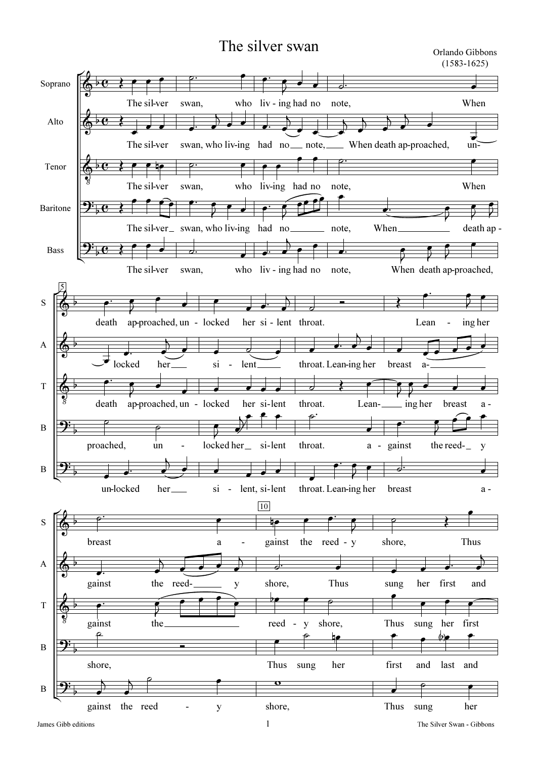## The silver swan Orlando Gibbons

(1583-1625)